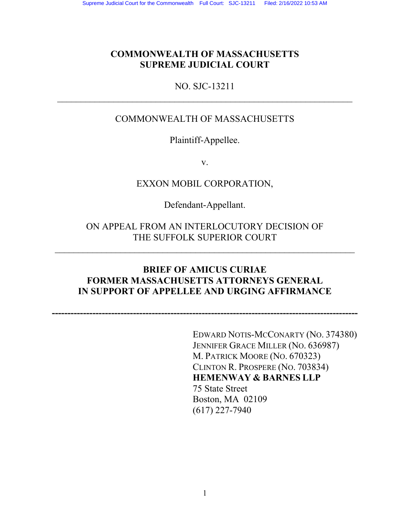# **COMMONWEALTH OF MASSACHUSETTS SUPREME JUDICIAL COURT**

### NO. SJC-13211  $\mathcal{L}_\text{max} = \frac{1}{2} \sum_{i=1}^n \mathcal{L}_\text{max}(\mathbf{x}_i - \mathbf{y}_i)$

# COMMONWEALTH OF MASSACHUSETTS

Plaintiff-Appellee.

v.

EXXON MOBIL CORPORATION,

Defendant-Appellant.

ON APPEAL FROM AN INTERLOCUTORY DECISION OF THE SUFFOLK SUPERIOR COURT

# **BRIEF OF AMICUS CURIAE FORMER MASSACHUSETTS ATTORNEYS GENERAL IN SUPPORT OF APPELLEE AND URGING AFFIRMANCE**

**--------------------------------------------------------------------------------------------------** 

EDWARD NOTIS-MCCONARTY (NO. 374380) JENNIFER GRACE MILLER (NO. 636987) M. PATRICK MOORE (NO. 670323) CLINTON R. PROSPERE (NO. 703834) **HEMENWAY & BARNES LLP**  75 State Street Boston, MA 02109 (617) 227-7940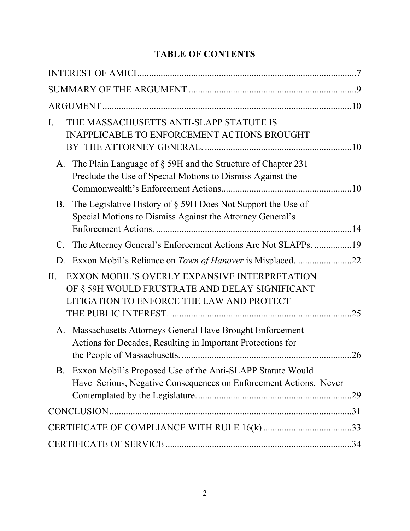# **TABLE OF CONTENTS**

| THE MASSACHUSETTS ANTI-SLAPP STATUTE IS<br>Ι.<br><b>INAPPLICABLE TO ENFORCEMENT ACTIONS BROUGHT</b>                                                 |     |
|-----------------------------------------------------------------------------------------------------------------------------------------------------|-----|
| A. The Plain Language of § 59H and the Structure of Chapter 231<br>Preclude the Use of Special Motions to Dismiss Against the                       |     |
| The Legislative History of § 59H Does Not Support the Use of<br>B.<br>Special Motions to Dismiss Against the Attorney General's                     |     |
| The Attorney General's Enforcement Actions Are Not SLAPPs. 19<br>$\mathcal{C}$ .                                                                    |     |
| D.                                                                                                                                                  |     |
| EXXON MOBIL'S OVERLY EXPANSIVE INTERPRETATION<br>II.<br>OF § 59H WOULD FRUSTRATE AND DELAY SIGNIFICANT<br>LITIGATION TO ENFORCE THE LAW AND PROTECT |     |
| A. Massachusetts Attorneys General Have Brought Enforcement<br>Actions for Decades, Resulting in Important Protections for                          | .26 |
| B <sub>r</sub><br>Exxon Mobil's Proposed Use of the Anti-SLAPP Statute Would<br>Have Serious, Negative Consequences on Enforcement Actions, Never   |     |
|                                                                                                                                                     |     |
|                                                                                                                                                     |     |
|                                                                                                                                                     |     |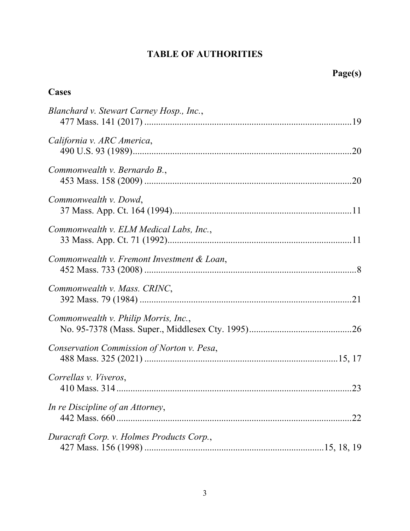# **TABLE OF AUTHORITIES**

# **Cases**

| Blanchard v. Stewart Carney Hosp., Inc.,   |
|--------------------------------------------|
| California v. ARC America,                 |
| Commonwealth v. Bernardo B.,               |
| Commonwealth v. Dowd,                      |
| Commonwealth v. ELM Medical Labs, Inc.,    |
| Commonwealth v. Fremont Investment & Loan, |
| Commonwealth v. Mass. CRINC,               |
| Commonwealth v. Philip Morris, Inc.,       |
| Conservation Commission of Norton v. Pesa, |
| Correllas v. Viveros,                      |
| In re Discipline of an Attorney,           |
| Duracraft Corp. v. Holmes Products Corp.,  |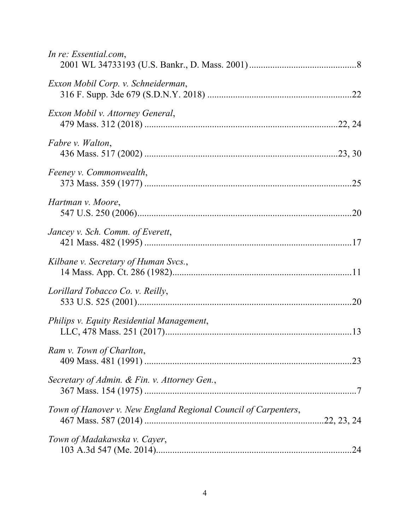| In re: Essential.com,                                          |
|----------------------------------------------------------------|
| Exxon Mobil Corp. v. Schneiderman,                             |
| Exxon Mobil v. Attorney General,                               |
| Fabre v. Walton,                                               |
| Feeney v. Commonwealth,                                        |
| Hartman v. Moore,                                              |
| Jancey v. Sch. Comm. of Everett,                               |
| Kilbane v. Secretary of Human Svcs.,                           |
| Lorillard Tobacco Co. v. Reilly,                               |
| Philips v. Equity Residential Management,                      |
| Ram v. Town of Charlton,                                       |
| Secretary of Admin. & Fin. v. Attorney Gen.,                   |
| Town of Hanover v. New England Regional Council of Carpenters, |
| Town of Madakawska v. Cayer,                                   |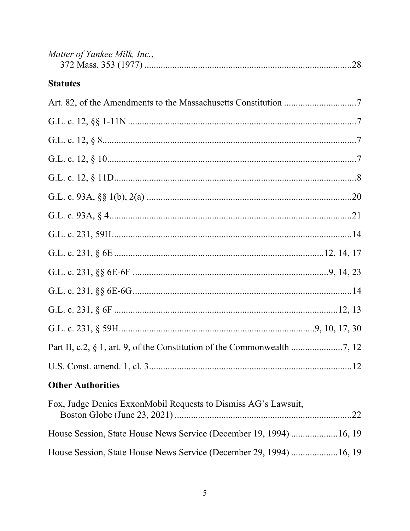| Matter of Yankee Milk, Inc.,                                       |     |
|--------------------------------------------------------------------|-----|
| <b>Statutes</b>                                                    |     |
|                                                                    |     |
|                                                                    |     |
|                                                                    |     |
|                                                                    |     |
|                                                                    |     |
|                                                                    |     |
|                                                                    |     |
|                                                                    |     |
|                                                                    |     |
|                                                                    |     |
|                                                                    |     |
|                                                                    |     |
|                                                                    |     |
|                                                                    |     |
|                                                                    |     |
| <b>Other Authorities</b>                                           |     |
| Fox, Judge Denies ExxonMobil Requests to Dismiss AG's Lawsuit,     | .22 |
| House Session, State House News Service (December 19, 1994) 16, 19 |     |
| House Session, State House News Service (December 29, 1994) 16, 19 |     |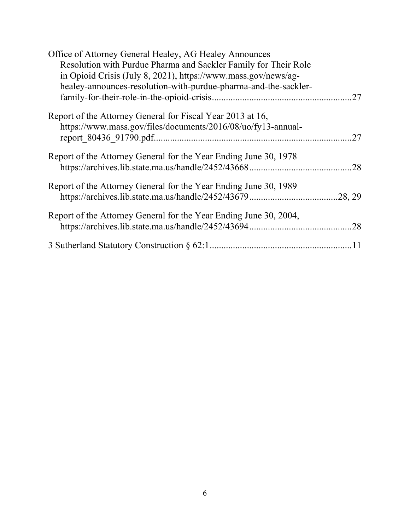| Office of Attorney General Healey, AG Healey Announces<br>Resolution with Purdue Pharma and Sackler Family for Their Role<br>in Opioid Crisis (July 8, 2021), https://www.mass.gov/news/ag- |     |
|---------------------------------------------------------------------------------------------------------------------------------------------------------------------------------------------|-----|
| healey-announces-resolution-with-purdue-pharma-and-the-sackler-                                                                                                                             | .27 |
| Report of the Attorney General for Fiscal Year 2013 at 16,<br>https://www.mass.gov/files/documents/2016/08/uo/fy13-annual-                                                                  | .27 |
| Report of the Attorney General for the Year Ending June 30, 1978                                                                                                                            | .28 |
| Report of the Attorney General for the Year Ending June 30, 1989                                                                                                                            |     |
| Report of the Attorney General for the Year Ending June 30, 2004,                                                                                                                           | .28 |
|                                                                                                                                                                                             |     |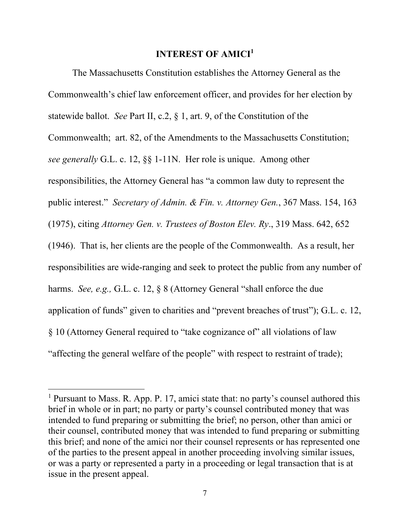#### **INTEREST OF AMICI<sup>1</sup>**

 The Massachusetts Constitution establishes the Attorney General as the Commonwealth's chief law enforcement officer, and provides for her election by statewide ballot. *See* Part II, c.2, § 1, art. 9, of the Constitution of the Commonwealth; art. 82, of the Amendments to the Massachusetts Constitution; *see generally* G.L. c. 12, §§ 1-11N. Her role is unique. Among other responsibilities, the Attorney General has "a common law duty to represent the public interest." *Secretary of Admin. & Fin. v. Attorney Gen.*, 367 Mass. 154, 163 (1975), citing *Attorney Gen. v. Trustees of Boston Elev. Ry*., 319 Mass. 642, 652 (1946). That is, her clients are the people of the Commonwealth. As a result, her responsibilities are wide-ranging and seek to protect the public from any number of harms. *See, e.g.,* G.L. c. 12, § 8 (Attorney General "shall enforce the due application of funds" given to charities and "prevent breaches of trust"); G.L. c. 12, § 10 (Attorney General required to "take cognizance of" all violations of law "affecting the general welfare of the people" with respect to restraint of trade);

<sup>&</sup>lt;sup>1</sup> Pursuant to Mass. R. App. P. 17, amici state that: no party's counsel authored this brief in whole or in part; no party or party's counsel contributed money that was intended to fund preparing or submitting the brief; no person, other than amici or their counsel, contributed money that was intended to fund preparing or submitting this brief; and none of the amici nor their counsel represents or has represented one of the parties to the present appeal in another proceeding involving similar issues, or was a party or represented a party in a proceeding or legal transaction that is at issue in the present appeal.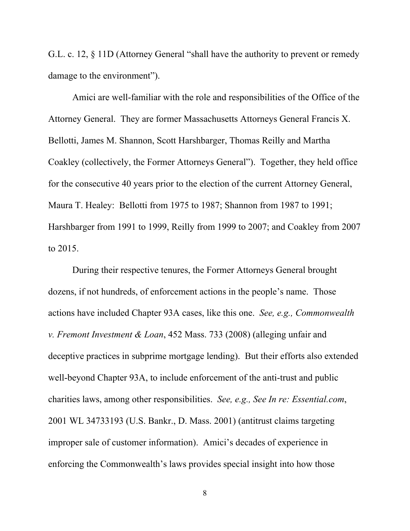G.L. c. 12, § 11D (Attorney General "shall have the authority to prevent or remedy damage to the environment").

 Amici are well-familiar with the role and responsibilities of the Office of the Attorney General. They are former Massachusetts Attorneys General Francis X. Bellotti, James M. Shannon, Scott Harshbarger, Thomas Reilly and Martha Coakley (collectively, the Former Attorneys General"). Together, they held office for the consecutive 40 years prior to the election of the current Attorney General, Maura T. Healey: Bellotti from 1975 to 1987; Shannon from 1987 to 1991; Harshbarger from 1991 to 1999, Reilly from 1999 to 2007; and Coakley from 2007 to 2015.

 During their respective tenures, the Former Attorneys General brought dozens, if not hundreds, of enforcement actions in the people's name. Those actions have included Chapter 93A cases, like this one. *See, e.g., Commonwealth v. Fremont Investment & Loan*, 452 Mass. 733 (2008) (alleging unfair and deceptive practices in subprime mortgage lending). But their efforts also extended well-beyond Chapter 93A, to include enforcement of the anti-trust and public charities laws, among other responsibilities. *See, e.g., See In re: Essential.com*, 2001 WL 34733193 (U.S. Bankr., D. Mass. 2001) (antitrust claims targeting improper sale of customer information). Amici's decades of experience in enforcing the Commonwealth's laws provides special insight into how those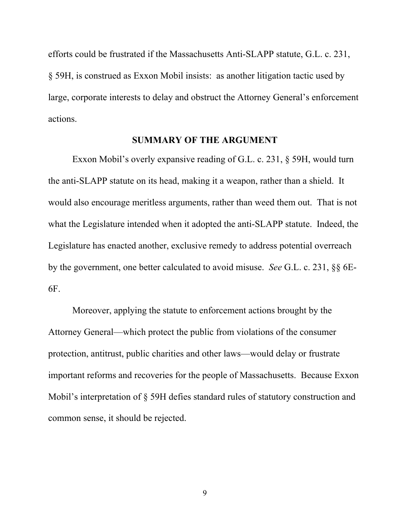efforts could be frustrated if the Massachusetts Anti-SLAPP statute, G.L. c. 231, § 59H, is construed as Exxon Mobil insists: as another litigation tactic used by large, corporate interests to delay and obstruct the Attorney General's enforcement actions.

#### **SUMMARY OF THE ARGUMENT**

 Exxon Mobil's overly expansive reading of G.L. c. 231, § 59H, would turn the anti-SLAPP statute on its head, making it a weapon, rather than a shield. It would also encourage meritless arguments, rather than weed them out. That is not what the Legislature intended when it adopted the anti-SLAPP statute. Indeed, the Legislature has enacted another, exclusive remedy to address potential overreach by the government, one better calculated to avoid misuse. *See* G.L. c. 231, §§ 6E-6F.

 Moreover, applying the statute to enforcement actions brought by the Attorney General—which protect the public from violations of the consumer protection, antitrust, public charities and other laws—would delay or frustrate important reforms and recoveries for the people of Massachusetts. Because Exxon Mobil's interpretation of § 59H defies standard rules of statutory construction and common sense, it should be rejected.

9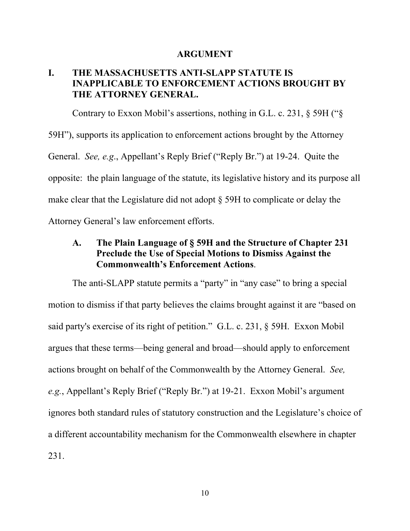#### **ARGUMENT**

## **I. THE MASSACHUSETTS ANTI-SLAPP STATUTE IS INAPPLICABLE TO ENFORCEMENT ACTIONS BROUGHT BY THE ATTORNEY GENERAL.**

Contrary to Exxon Mobil's assertions, nothing in G.L. c. 231, § 59H ("§

59H"), supports its application to enforcement actions brought by the Attorney General. *See, e.g*., Appellant's Reply Brief ("Reply Br.") at 19-24. Quite the opposite: the plain language of the statute, its legislative history and its purpose all make clear that the Legislature did not adopt § 59H to complicate or delay the Attorney General's law enforcement efforts.

### **A. The Plain Language of § 59H and the Structure of Chapter 231 Preclude the Use of Special Motions to Dismiss Against the Commonwealth's Enforcement Actions**.

 The anti-SLAPP statute permits a "party" in "any case" to bring a special motion to dismiss if that party believes the claims brought against it are "based on said party's exercise of its right of petition." G.L. c. 231, § 59H. Exxon Mobil argues that these terms—being general and broad—should apply to enforcement actions brought on behalf of the Commonwealth by the Attorney General. *See, e.g.*, Appellant's Reply Brief ("Reply Br.") at 19-21. Exxon Mobil's argument ignores both standard rules of statutory construction and the Legislature's choice of a different accountability mechanism for the Commonwealth elsewhere in chapter 231.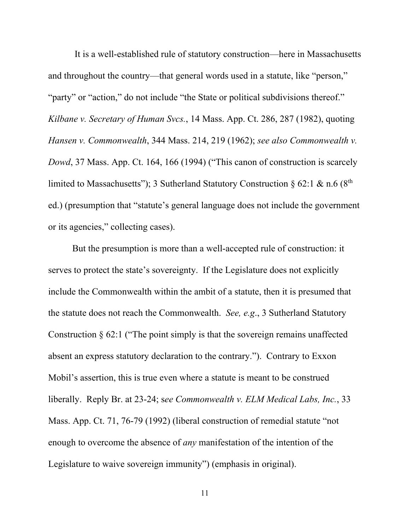It is a well-established rule of statutory construction—here in Massachusetts and throughout the country—that general words used in a statute, like "person," "party" or "action," do not include "the State or political subdivisions thereof." *Kilbane v. Secretary of Human Svcs.*, 14 Mass. App. Ct. 286, 287 (1982), quoting *Hansen v. Commonwealth*, 344 Mass. 214, 219 (1962); *see also Commonwealth v. Dowd*, 37 Mass. App. Ct. 164, 166 (1994) ("This canon of construction is scarcely limited to Massachusetts"); 3 Sutherland Statutory Construction § 62:1 & n.6 ( $8<sup>th</sup>$ ed.) (presumption that "statute's general language does not include the government or its agencies," collecting cases).

 But the presumption is more than a well-accepted rule of construction: it serves to protect the state's sovereignty. If the Legislature does not explicitly include the Commonwealth within the ambit of a statute, then it is presumed that the statute does not reach the Commonwealth. *See, e.g*., 3 Sutherland Statutory Construction § 62:1 ("The point simply is that the sovereign remains unaffected absent an express statutory declaration to the contrary."). Contrary to Exxon Mobil's assertion, this is true even where a statute is meant to be construed liberally. Reply Br. at 23-24; s*ee Commonwealth v. ELM Medical Labs, Inc.*, 33 Mass. App. Ct. 71, 76-79 (1992) (liberal construction of remedial statute "not enough to overcome the absence of *any* manifestation of the intention of the Legislature to waive sovereign immunity") (emphasis in original).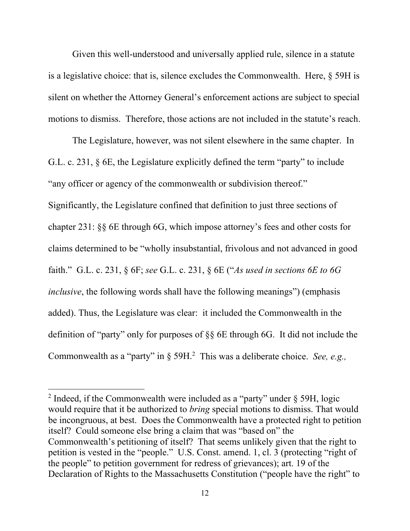Given this well-understood and universally applied rule, silence in a statute is a legislative choice: that is, silence excludes the Commonwealth. Here, § 59H is silent on whether the Attorney General's enforcement actions are subject to special motions to dismiss. Therefore, those actions are not included in the statute's reach.

 The Legislature, however, was not silent elsewhere in the same chapter. In G.L. c. 231, § 6E, the Legislature explicitly defined the term "party" to include "any officer or agency of the commonwealth or subdivision thereof." Significantly, the Legislature confined that definition to just three sections of chapter 231: §§ 6E through 6G, which impose attorney's fees and other costs for claims determined to be "wholly insubstantial, frivolous and not advanced in good faith." G.L. c. 231, § 6F; *see* G.L. c. 231, § 6E ("*As used in sections 6E to 6G inclusive*, the following words shall have the following meanings") (emphasis added). Thus, the Legislature was clear: it included the Commonwealth in the definition of "party" only for purposes of §§ 6E through 6G. It did not include the Commonwealth as a "party" in § 59H.<sup>2</sup> This was a deliberate choice. *See, e.g.,* 

<sup>&</sup>lt;sup>2</sup> Indeed, if the Commonwealth were included as a "party" under  $\S$  59H, logic would require that it be authorized to *bring* special motions to dismiss. That would be incongruous, at best. Does the Commonwealth have a protected right to petition itself? Could someone else bring a claim that was "based on" the Commonwealth's petitioning of itself? That seems unlikely given that the right to petition is vested in the "people." U.S. Const. amend. 1, cl. 3 (protecting "right of the people" to petition government for redress of grievances); art. 19 of the Declaration of Rights to the Massachusetts Constitution ("people have the right" to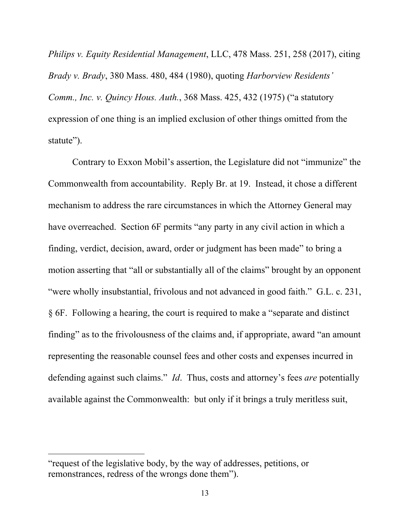*Philips v. Equity Residential Management*, LLC, 478 Mass. 251, 258 (2017), citing *Brady v. Brady*, 380 Mass. 480, 484 (1980), quoting *Harborview Residents' Comm., Inc. v. Quincy Hous. Auth.*, 368 Mass. 425, 432 (1975) ("a statutory expression of one thing is an implied exclusion of other things omitted from the statute").

 Contrary to Exxon Mobil's assertion, the Legislature did not "immunize" the Commonwealth from accountability. Reply Br. at 19. Instead, it chose a different mechanism to address the rare circumstances in which the Attorney General may have overreached. Section 6F permits "any party in any civil action in which a finding, verdict, decision, award, order or judgment has been made" to bring a motion asserting that "all or substantially all of the claims" brought by an opponent "were wholly insubstantial, frivolous and not advanced in good faith." G.L. c. 231, § 6F. Following a hearing, the court is required to make a "separate and distinct finding" as to the frivolousness of the claims and, if appropriate, award "an amount representing the reasonable counsel fees and other costs and expenses incurred in defending against such claims." *Id*. Thus, costs and attorney's fees *are* potentially available against the Commonwealth: but only if it brings a truly meritless suit,

<sup>&</sup>quot;request of the legislative body, by the way of addresses, petitions, or remonstrances, redress of the wrongs done them").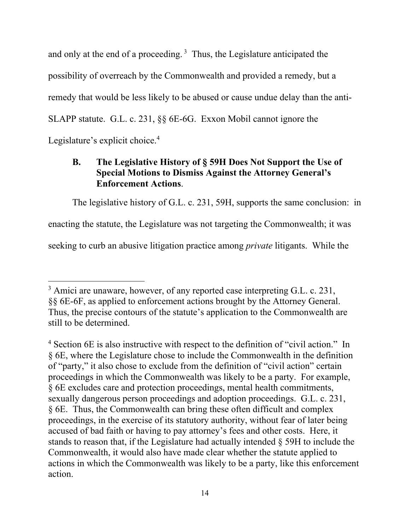and only at the end of a proceeding. 3 Thus, the Legislature anticipated the possibility of overreach by the Commonwealth and provided a remedy, but a remedy that would be less likely to be abused or cause undue delay than the anti-SLAPP statute. G.L. c. 231, §§ 6E-6G. Exxon Mobil cannot ignore the Legislature's explicit choice.<sup>4</sup>

# **B. The Legislative History of § 59H Does Not Support the Use of Special Motions to Dismiss Against the Attorney General's Enforcement Actions**.

 The legislative history of G.L. c. 231, 59H, supports the same conclusion: in enacting the statute, the Legislature was not targeting the Commonwealth; it was seeking to curb an abusive litigation practice among *private* litigants. While the

 $3$  Amici are unaware, however, of any reported case interpreting G.L. c. 231, §§ 6E-6F, as applied to enforcement actions brought by the Attorney General. Thus, the precise contours of the statute's application to the Commonwealth are still to be determined.

<sup>&</sup>lt;sup>4</sup> Section 6E is also instructive with respect to the definition of "civil action." In § 6E, where the Legislature chose to include the Commonwealth in the definition of "party," it also chose to exclude from the definition of "civil action" certain proceedings in which the Commonwealth was likely to be a party. For example, § 6E excludes care and protection proceedings, mental health commitments, sexually dangerous person proceedings and adoption proceedings. G.L. c. 231, § 6E. Thus, the Commonwealth can bring these often difficult and complex proceedings, in the exercise of its statutory authority, without fear of later being accused of bad faith or having to pay attorney's fees and other costs. Here, it stands to reason that, if the Legislature had actually intended § 59H to include the Commonwealth, it would also have made clear whether the statute applied to actions in which the Commonwealth was likely to be a party, like this enforcement action.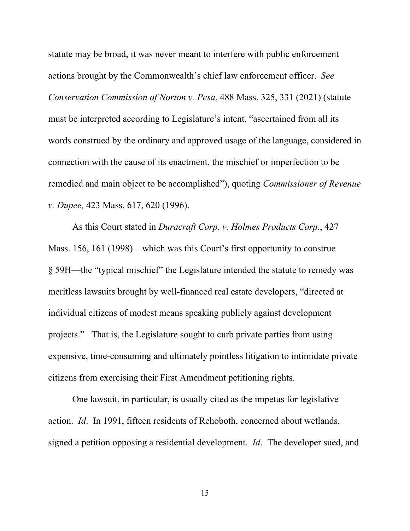statute may be broad, it was never meant to interfere with public enforcement actions brought by the Commonwealth's chief law enforcement officer. *See Conservation Commission of Norton v. Pesa*, 488 Mass. 325, 331 (2021) (statute must be interpreted according to Legislature's intent, "ascertained from all its words construed by the ordinary and approved usage of the language, considered in connection with the cause of its enactment, the mischief or imperfection to be remedied and main object to be accomplished"), quoting *Commissioner of Revenue v. Dupee,* 423 Mass. 617, 620 (1996).

 As this Court stated in *Duracraft Corp. v. Holmes Products Corp.*, 427 Mass. 156, 161 (1998)—which was this Court's first opportunity to construe § 59H—the "typical mischief" the Legislature intended the statute to remedy was meritless lawsuits brought by well-financed real estate developers, "directed at individual citizens of modest means speaking publicly against development projects." That is, the Legislature sought to curb private parties from using expensive, time-consuming and ultimately pointless litigation to intimidate private citizens from exercising their First Amendment petitioning rights.

 One lawsuit, in particular, is usually cited as the impetus for legislative action. *Id*. In 1991, fifteen residents of Rehoboth, concerned about wetlands, signed a petition opposing a residential development. *Id*. The developer sued, and

15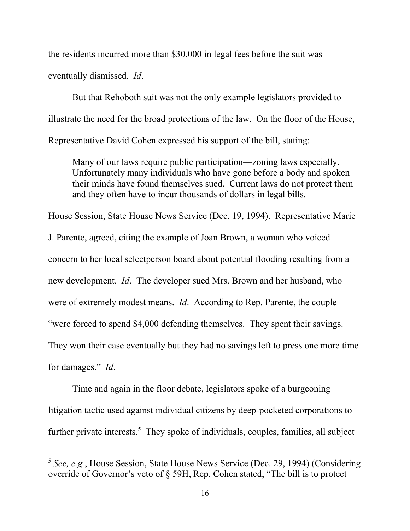the residents incurred more than \$30,000 in legal fees before the suit was eventually dismissed. *Id*.

 But that Rehoboth suit was not the only example legislators provided to illustrate the need for the broad protections of the law. On the floor of the House, Representative David Cohen expressed his support of the bill, stating:

 Many of our laws require public participation—zoning laws especially. Unfortunately many individuals who have gone before a body and spoken their minds have found themselves sued. Current laws do not protect them and they often have to incur thousands of dollars in legal bills.

House Session, State House News Service (Dec. 19, 1994). Representative Marie J. Parente, agreed, citing the example of Joan Brown, a woman who voiced concern to her local selectperson board about potential flooding resulting from a new development. *Id*. The developer sued Mrs. Brown and her husband, who were of extremely modest means. *Id*. According to Rep. Parente, the couple "were forced to spend \$4,000 defending themselves. They spent their savings. They won their case eventually but they had no savings left to press one more time for damages." *Id*.

 Time and again in the floor debate, legislators spoke of a burgeoning litigation tactic used against individual citizens by deep-pocketed corporations to further private interests.<sup>5</sup> They spoke of individuals, couples, families, all subject

<sup>5</sup> *See, e.g.*, House Session, State House News Service (Dec. 29, 1994) (Considering override of Governor's veto of § 59H, Rep. Cohen stated, "The bill is to protect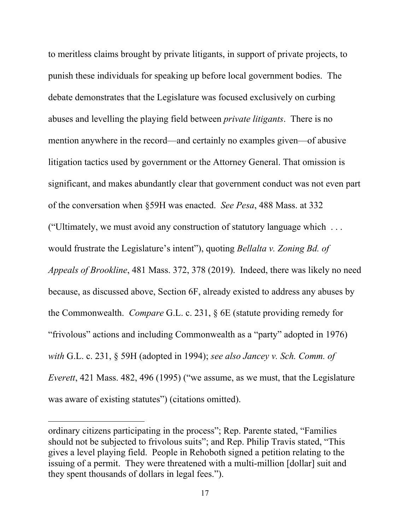to meritless claims brought by private litigants, in support of private projects, to punish these individuals for speaking up before local government bodies. The debate demonstrates that the Legislature was focused exclusively on curbing abuses and levelling the playing field between *private litigants*. There is no mention anywhere in the record—and certainly no examples given—of abusive litigation tactics used by government or the Attorney General. That omission is significant, and makes abundantly clear that government conduct was not even part of the conversation when §59H was enacted. *See Pesa*, 488 Mass. at 332 ("Ultimately, we must avoid any construction of statutory language which . . . would frustrate the Legislature's intent"), quoting *Bellalta v. Zoning Bd. of Appeals of Brookline*, 481 Mass. 372, 378 (2019). Indeed, there was likely no need because, as discussed above, Section 6F, already existed to address any abuses by the Commonwealth. *Compare* G.L. c. 231, § 6E (statute providing remedy for "frivolous" actions and including Commonwealth as a "party" adopted in 1976) *with* G.L. c. 231, § 59H (adopted in 1994); *see also Jancey v. Sch. Comm. of Everett*, 421 Mass. 482, 496 (1995) ("we assume, as we must, that the Legislature was aware of existing statutes") (citations omitted).

ordinary citizens participating in the process"; Rep. Parente stated, "Families should not be subjected to frivolous suits"; and Rep. Philip Travis stated, "This gives a level playing field. People in Rehoboth signed a petition relating to the issuing of a permit. They were threatened with a multi-million [dollar] suit and they spent thousands of dollars in legal fees.").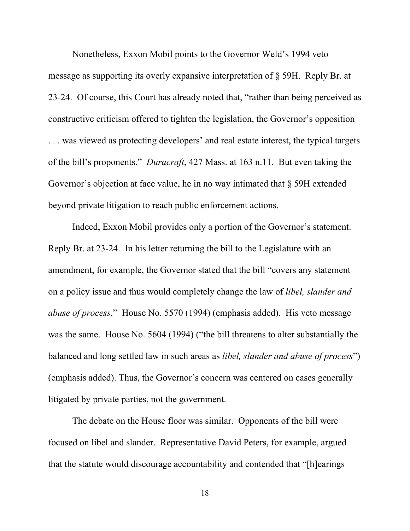Nonetheless, Exxon Mobil points to the Governor Weld's 1994 veto message as supporting its overly expansive interpretation of § 59H. Reply Br. at 23-24. Of course, this Court has already noted that, "rather than being perceived as constructive criticism offered to tighten the legislation, the Governor's opposition . . . was viewed as protecting developers' and real estate interest, the typical targets of the bill's proponents." *Duracraft*, 427 Mass. at 163 n.11. But even taking the Governor's objection at face value, he in no way intimated that § 59H extended beyond private litigation to reach public enforcement actions.

 Indeed, Exxon Mobil provides only a portion of the Governor's statement. Reply Br. at 23-24. In his letter returning the bill to the Legislature with an amendment, for example, the Governor stated that the bill "covers any statement on a policy issue and thus would completely change the law of *libel, slander and abuse of process*." House No. 5570 (1994) (emphasis added). His veto message was the same. House No. 5604 (1994) ("the bill threatens to alter substantially the balanced and long settled law in such areas as *libel, slander and abuse of process*") (emphasis added). Thus, the Governor's concern was centered on cases generally litigated by private parties, not the government.

 The debate on the House floor was similar. Opponents of the bill were focused on libel and slander. Representative David Peters, for example, argued that the statute would discourage accountability and contended that "[h]earings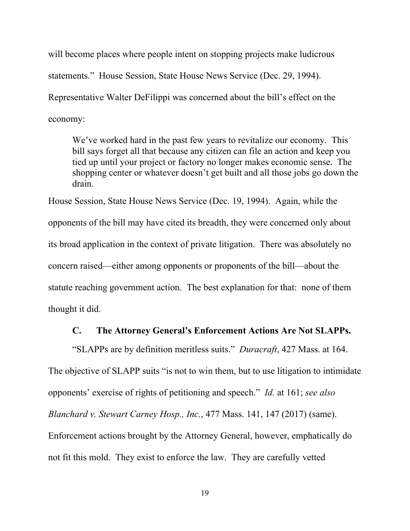will become places where people intent on stopping projects make ludicrous statements." House Session, State House News Service (Dec. 29, 1994). Representative Walter DeFilippi was concerned about the bill's effect on the economy:

 We've worked hard in the past few years to revitalize our economy. This bill says forget all that because any citizen can file an action and keep you tied up until your project or factory no longer makes economic sense. The shopping center or whatever doesn't get built and all those jobs go down the drain.

House Session, State House News Service (Dec. 19, 1994). Again, while the opponents of the bill may have cited its breadth, they were concerned only about its broad application in the context of private litigation. There was absolutely no concern raised—either among opponents or proponents of the bill—about the statute reaching government action. The best explanation for that: none of them thought it did.

### **C. The Attorney General's Enforcement Actions Are Not SLAPPs.**

 "SLAPPs are by definition meritless suits." *Duracraft*, 427 Mass. at 164. The objective of SLAPP suits "is not to win them, but to use litigation to intimidate opponents' exercise of rights of petitioning and speech." *Id.* at 161; *see also Blanchard v. Stewart Carney Hosp., Inc.*, 477 Mass. 141, 147 (2017) (same). Enforcement actions brought by the Attorney General, however, emphatically do not fit this mold. They exist to enforce the law. They are carefully vetted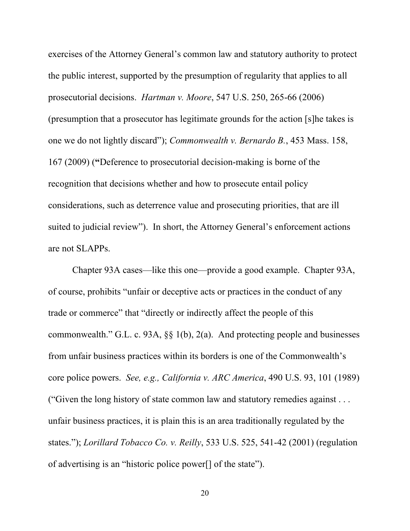exercises of the Attorney General's common law and statutory authority to protect the public interest, supported by the presumption of regularity that applies to all prosecutorial decisions. *Hartman v. Moore*, 547 U.S. 250, 265-66 (2006) (presumption that a prosecutor has legitimate grounds for the action [s]he takes is one we do not lightly discard"); *Commonwealth v. Bernardo B.*, 453 Mass. 158, 167 (2009) (**"**Deference to prosecutorial decision-making is borne of the recognition that decisions whether and how to prosecute entail policy considerations, such as deterrence value and prosecuting priorities, that are ill suited to judicial review"). In short, the Attorney General's enforcement actions are not SLAPPs.

 Chapter 93A cases—like this one—provide a good example. Chapter 93A, of course, prohibits "unfair or deceptive acts or practices in the conduct of any trade or commerce" that "directly or indirectly affect the people of this commonwealth." G.L. c. 93A, §§ 1(b), 2(a). And protecting people and businesses from unfair business practices within its borders is one of the Commonwealth's core police powers. *See, e.g., California v. ARC America*, 490 U.S. 93, 101 (1989) ("Given the long history of state common law and statutory remedies against . . . unfair business practices, it is plain this is an area traditionally regulated by the states."); *Lorillard Tobacco Co. v. Reilly*, 533 U.S. 525, 541-42 (2001) (regulation of advertising is an "historic police power[] of the state").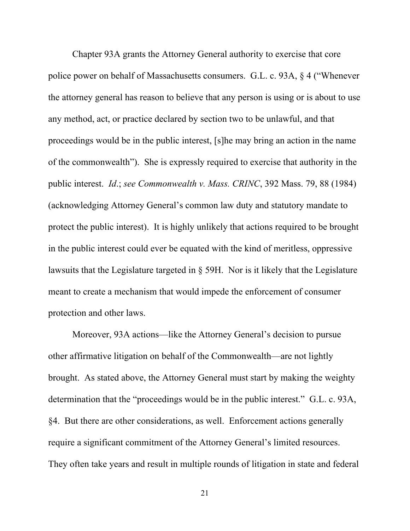Chapter 93A grants the Attorney General authority to exercise that core police power on behalf of Massachusetts consumers. G.L. c. 93A, § 4 ("Whenever the attorney general has reason to believe that any person is using or is about to use any method, act, or practice declared by section two to be unlawful, and that proceedings would be in the public interest, [s]he may bring an action in the name of the commonwealth"). She is expressly required to exercise that authority in the public interest. *Id*.; *see Commonwealth v. Mass. CRINC*, 392 Mass. 79, 88 (1984) (acknowledging Attorney General's common law duty and statutory mandate to protect the public interest). It is highly unlikely that actions required to be brought in the public interest could ever be equated with the kind of meritless, oppressive lawsuits that the Legislature targeted in  $\S$  59H. Nor is it likely that the Legislature meant to create a mechanism that would impede the enforcement of consumer protection and other laws.

 Moreover, 93A actions—like the Attorney General's decision to pursue other affirmative litigation on behalf of the Commonwealth—are not lightly brought. As stated above, the Attorney General must start by making the weighty determination that the "proceedings would be in the public interest." G.L. c. 93A, §4. But there are other considerations, as well. Enforcement actions generally require a significant commitment of the Attorney General's limited resources. They often take years and result in multiple rounds of litigation in state and federal

21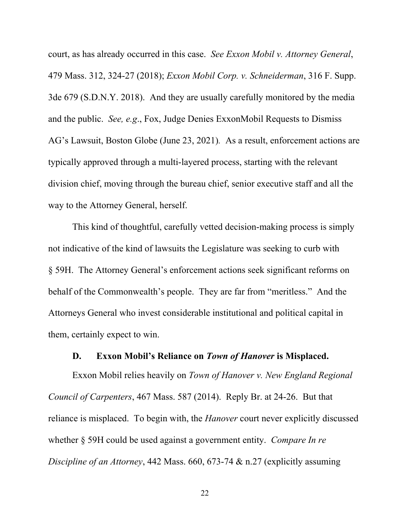court, as has already occurred in this case. *See Exxon Mobil v. Attorney General*, 479 Mass. 312, 324-27 (2018); *Exxon Mobil Corp. v. Schneiderman*, 316 F. Supp. 3de 679 (S.D.N.Y. 2018). And they are usually carefully monitored by the media and the public. *See, e.g*., Fox, Judge Denies ExxonMobil Requests to Dismiss AG's Lawsuit, Boston Globe (June 23, 2021)*.* As a result, enforcement actions are typically approved through a multi-layered process, starting with the relevant division chief, moving through the bureau chief, senior executive staff and all the way to the Attorney General, herself.

 This kind of thoughtful, carefully vetted decision-making process is simply not indicative of the kind of lawsuits the Legislature was seeking to curb with § 59H. The Attorney General's enforcement actions seek significant reforms on behalf of the Commonwealth's people. They are far from "meritless." And the Attorneys General who invest considerable institutional and political capital in them, certainly expect to win.

### **D. Exxon Mobil's Reliance on** *Town of Hanover* **is Misplaced.**

 Exxon Mobil relies heavily on *Town of Hanover v. New England Regional Council of Carpenters*, 467 Mass. 587 (2014). Reply Br. at 24-26. But that reliance is misplaced. To begin with, the *Hanover* court never explicitly discussed whether § 59H could be used against a government entity. *Compare In re Discipline of an Attorney*, 442 Mass. 660, 673-74 & n.27 (explicitly assuming

22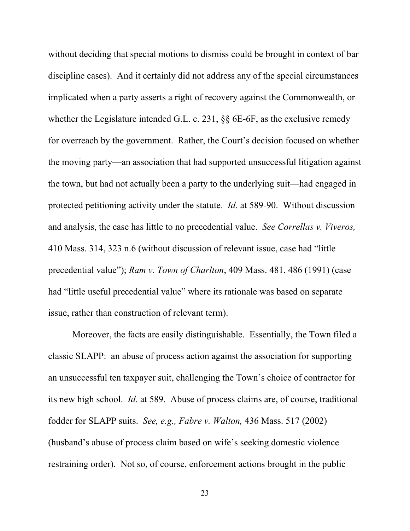without deciding that special motions to dismiss could be brought in context of bar discipline cases). And it certainly did not address any of the special circumstances implicated when a party asserts a right of recovery against the Commonwealth, or whether the Legislature intended G.L. c. 231, §§ 6E-6F, as the exclusive remedy for overreach by the government. Rather, the Court's decision focused on whether the moving party—an association that had supported unsuccessful litigation against the town, but had not actually been a party to the underlying suit—had engaged in protected petitioning activity under the statute. *Id*. at 589-90. Without discussion and analysis, the case has little to no precedential value. *See Correllas v. Viveros,*  410 Mass. 314, 323 n.6 (without discussion of relevant issue, case had "little precedential value"); *Ram v. Town of Charlton*, 409 Mass. 481, 486 (1991) (case had "little useful precedential value" where its rationale was based on separate issue, rather than construction of relevant term).

 Moreover, the facts are easily distinguishable. Essentially, the Town filed a classic SLAPP: an abuse of process action against the association for supporting an unsuccessful ten taxpayer suit, challenging the Town's choice of contractor for its new high school. *Id.* at 589. Abuse of process claims are, of course, traditional fodder for SLAPP suits. *See, e.g., Fabre v. Walton,* 436 Mass. 517 (2002) (husband's abuse of process claim based on wife's seeking domestic violence restraining order). Not so, of course, enforcement actions brought in the public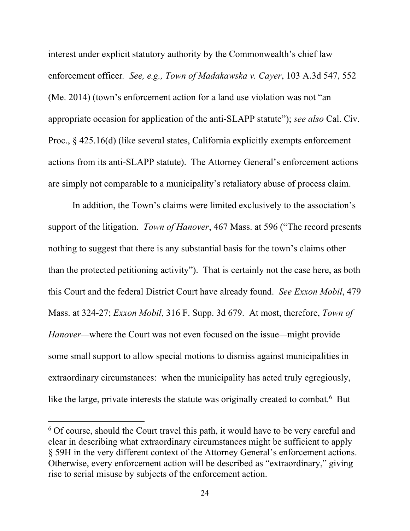interest under explicit statutory authority by the Commonwealth's chief law enforcement officer*. See, e.g., Town of Madakawska v. Cayer*, 103 A.3d 547, 552 (Me. 2014) (town's enforcement action for a land use violation was not "an appropriate occasion for application of the anti-SLAPP statute"); *see also* Cal. Civ. Proc.,  $\S$  425.16(d) (like several states, California explicitly exempts enforcement actions from its anti-SLAPP statute). The Attorney General's enforcement actions are simply not comparable to a municipality's retaliatory abuse of process claim.

 In addition, the Town's claims were limited exclusively to the association's support of the litigation. *Town of Hanover*, 467 Mass. at 596 ("The record presents nothing to suggest that there is any substantial basis for the town's claims other than the protected petitioning activity"). That is certainly not the case here, as both this Court and the federal District Court have already found. *See Exxon Mobil*, 479 Mass. at 324-27; *Exxon Mobil*, 316 F. Supp. 3d 679. At most, therefore, *Town of Hanover—*where the Court was not even focused on the issue*—*might provide some small support to allow special motions to dismiss against municipalities in extraordinary circumstances: when the municipality has acted truly egregiously, like the large, private interests the statute was originally created to combat.<sup>6</sup> But

<sup>&</sup>lt;sup>6</sup> Of course, should the Court travel this path, it would have to be very careful and clear in describing what extraordinary circumstances might be sufficient to apply § 59H in the very different context of the Attorney General's enforcement actions. Otherwise, every enforcement action will be described as "extraordinary," giving rise to serial misuse by subjects of the enforcement action.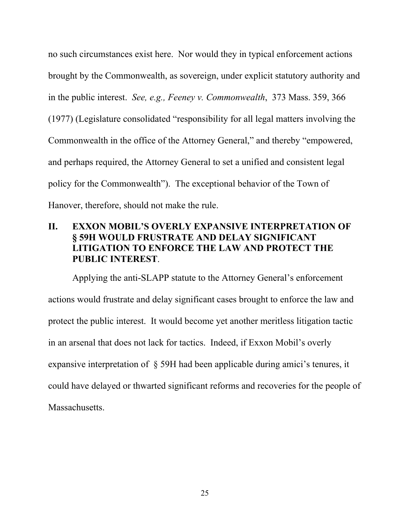no such circumstances exist here. Nor would they in typical enforcement actions brought by the Commonwealth, as sovereign, under explicit statutory authority and in the public interest. *See, e.g., Feeney v. Commonwealth*, 373 Mass. 359, 366 (1977) (Legislature consolidated "responsibility for all legal matters involving the Commonwealth in the office of the Attorney General," and thereby "empowered, and perhaps required, the Attorney General to set a unified and consistent legal policy for the Commonwealth"). The exceptional behavior of the Town of Hanover, therefore, should not make the rule.

## **II. EXXON MOBIL'S OVERLY EXPANSIVE INTERPRETATION OF § 59H WOULD FRUSTRATE AND DELAY SIGNIFICANT LITIGATION TO ENFORCE THE LAW AND PROTECT THE PUBLIC INTEREST**.

 Applying the anti-SLAPP statute to the Attorney General's enforcement actions would frustrate and delay significant cases brought to enforce the law and protect the public interest. It would become yet another meritless litigation tactic in an arsenal that does not lack for tactics. Indeed, if Exxon Mobil's overly expansive interpretation of § 59H had been applicable during amici's tenures, it could have delayed or thwarted significant reforms and recoveries for the people of Massachusetts.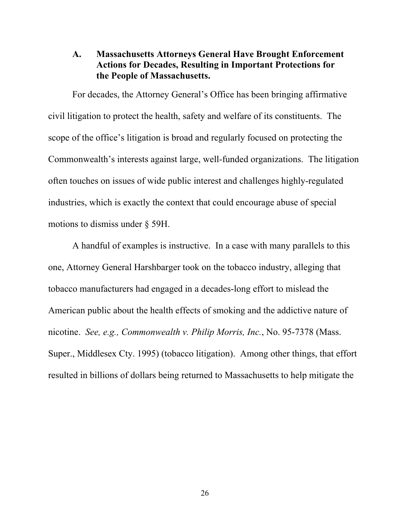### **A. Massachusetts Attorneys General Have Brought Enforcement Actions for Decades, Resulting in Important Protections for the People of Massachusetts.**

 For decades, the Attorney General's Office has been bringing affirmative civil litigation to protect the health, safety and welfare of its constituents. The scope of the office's litigation is broad and regularly focused on protecting the Commonwealth's interests against large, well-funded organizations. The litigation often touches on issues of wide public interest and challenges highly-regulated industries, which is exactly the context that could encourage abuse of special motions to dismiss under § 59H.

 A handful of examples is instructive. In a case with many parallels to this one, Attorney General Harshbarger took on the tobacco industry, alleging that tobacco manufacturers had engaged in a decades-long effort to mislead the American public about the health effects of smoking and the addictive nature of nicotine. *See, e.g., Commonwealth v. Philip Morris, Inc.*, No. 95-7378 (Mass. Super., Middlesex Cty. 1995) (tobacco litigation). Among other things, that effort resulted in billions of dollars being returned to Massachusetts to help mitigate the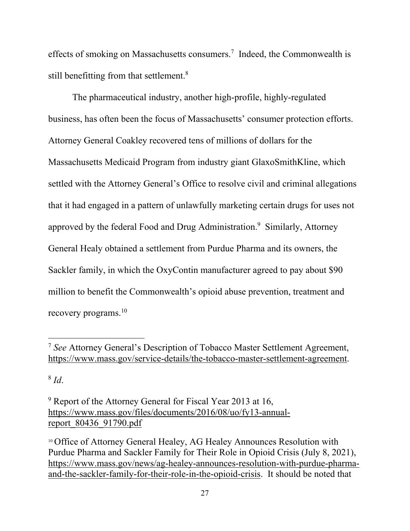effects of smoking on Massachusetts consumers.<sup>7</sup> Indeed, the Commonwealth is still benefitting from that settlement.<sup>8</sup>

 The pharmaceutical industry, another high-profile, highly-regulated business, has often been the focus of Massachusetts' consumer protection efforts. Attorney General Coakley recovered tens of millions of dollars for the Massachusetts Medicaid Program from industry giant GlaxoSmithKline, which settled with the Attorney General's Office to resolve civil and criminal allegations that it had engaged in a pattern of unlawfully marketing certain drugs for uses not approved by the federal Food and Drug Administration.<sup>9</sup> Similarly, Attorney General Healy obtained a settlement from Purdue Pharma and its owners, the Sackler family, in which the OxyContin manufacturer agreed to pay about \$90 million to benefit the Commonwealth's opioid abuse prevention, treatment and recovery programs.10

 $8$  *Id.* 

<sup>7</sup> *See* Attorney General's Description of Tobacco Master Settlement Agreement, https://www.mass.gov/service-details/the-tobacco-master-settlement-agreement.

<sup>&</sup>lt;sup>9</sup> Report of the Attorney General for Fiscal Year 2013 at 16, https://www.mass.gov/files/documents/2016/08/uo/fy13-annualreport\_80436\_91790.pdf

<sup>&</sup>lt;sup>10</sup> Office of Attorney General Healey, AG Healey Announces Resolution with Purdue Pharma and Sackler Family for Their Role in Opioid Crisis (July 8, 2021), https://www.mass.gov/news/ag-healey-announces-resolution-with-purdue-pharmaand-the-sackler-family-for-their-role-in-the-opioid-crisis. It should be noted that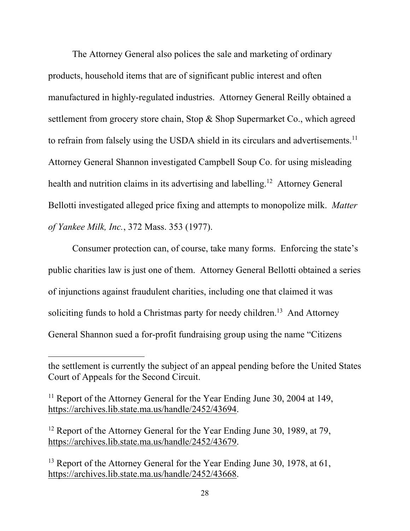The Attorney General also polices the sale and marketing of ordinary products, household items that are of significant public interest and often manufactured in highly-regulated industries. Attorney General Reilly obtained a settlement from grocery store chain, Stop & Shop Supermarket Co., which agreed to refrain from falsely using the USDA shield in its circulars and advertisements.<sup>11</sup> Attorney General Shannon investigated Campbell Soup Co. for using misleading health and nutrition claims in its advertising and labelling.<sup>12</sup> Attorney General Bellotti investigated alleged price fixing and attempts to monopolize milk. *Matter of Yankee Milk, Inc.*, 372 Mass. 353 (1977).

 Consumer protection can, of course, take many forms. Enforcing the state's public charities law is just one of them. Attorney General Bellotti obtained a series of injunctions against fraudulent charities, including one that claimed it was soliciting funds to hold a Christmas party for needy children.<sup>13</sup> And Attorney General Shannon sued a for-profit fundraising group using the name "Citizens

the settlement is currently the subject of an appeal pending before the United States Court of Appeals for the Second Circuit.

<sup>&</sup>lt;sup>11</sup> Report of the Attorney General for the Year Ending June 30, 2004 at 149, https://archives.lib.state.ma.us/handle/2452/43694.

<sup>&</sup>lt;sup>12</sup> Report of the Attorney General for the Year Ending June 30, 1989, at 79, https://archives.lib.state.ma.us/handle/2452/43679.

<sup>&</sup>lt;sup>13</sup> Report of the Attorney General for the Year Ending June 30, 1978, at 61, https://archives.lib.state.ma.us/handle/2452/43668.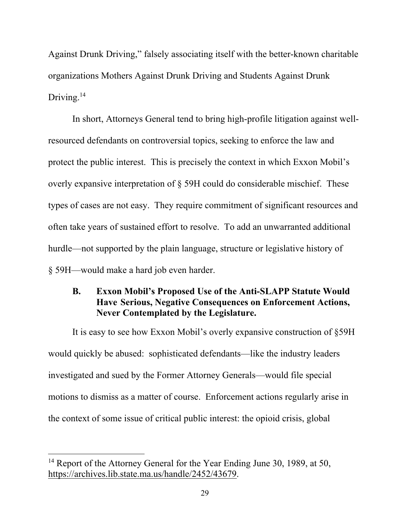Against Drunk Driving," falsely associating itself with the better-known charitable organizations Mothers Against Drunk Driving and Students Against Drunk Driving.<sup>14</sup>

 In short, Attorneys General tend to bring high-profile litigation against wellresourced defendants on controversial topics, seeking to enforce the law and protect the public interest. This is precisely the context in which Exxon Mobil's overly expansive interpretation of § 59H could do considerable mischief. These types of cases are not easy. They require commitment of significant resources and often take years of sustained effort to resolve. To add an unwarranted additional hurdle—not supported by the plain language, structure or legislative history of § 59H—would make a hard job even harder.

## **B. Exxon Mobil's Proposed Use of the Anti-SLAPP Statute Would Have Serious, Negative Consequences on Enforcement Actions, Never Contemplated by the Legislature.**

 It is easy to see how Exxon Mobil's overly expansive construction of §59H would quickly be abused: sophisticated defendants—like the industry leaders investigated and sued by the Former Attorney Generals—would file special motions to dismiss as a matter of course. Enforcement actions regularly arise in the context of some issue of critical public interest: the opioid crisis, global

<sup>&</sup>lt;sup>14</sup> Report of the Attorney General for the Year Ending June 30, 1989, at 50, https://archives.lib.state.ma.us/handle/2452/43679.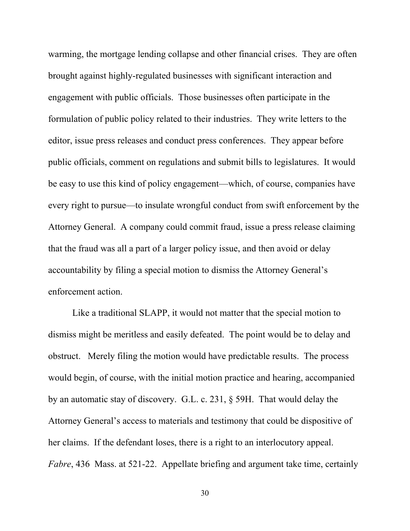warming, the mortgage lending collapse and other financial crises. They are often brought against highly-regulated businesses with significant interaction and engagement with public officials. Those businesses often participate in the formulation of public policy related to their industries. They write letters to the editor, issue press releases and conduct press conferences. They appear before public officials, comment on regulations and submit bills to legislatures. It would be easy to use this kind of policy engagement—which, of course, companies have every right to pursue—to insulate wrongful conduct from swift enforcement by the Attorney General. A company could commit fraud, issue a press release claiming that the fraud was all a part of a larger policy issue, and then avoid or delay accountability by filing a special motion to dismiss the Attorney General's enforcement action.

 Like a traditional SLAPP, it would not matter that the special motion to dismiss might be meritless and easily defeated. The point would be to delay and obstruct. Merely filing the motion would have predictable results. The process would begin, of course, with the initial motion practice and hearing, accompanied by an automatic stay of discovery. G.L. c. 231, § 59H. That would delay the Attorney General's access to materials and testimony that could be dispositive of her claims. If the defendant loses, there is a right to an interlocutory appeal. *Fabre*, 436 Mass. at 521-22. Appellate briefing and argument take time, certainly

30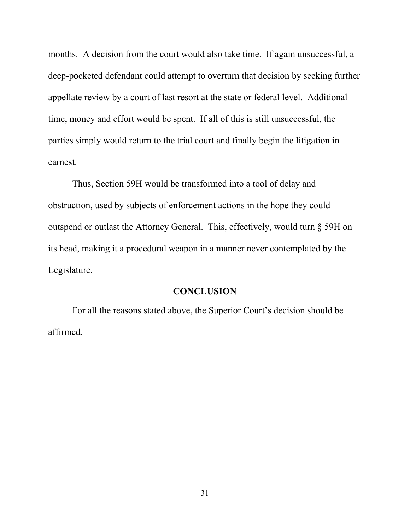months. A decision from the court would also take time. If again unsuccessful, a deep-pocketed defendant could attempt to overturn that decision by seeking further appellate review by a court of last resort at the state or federal level. Additional time, money and effort would be spent. If all of this is still unsuccessful, the parties simply would return to the trial court and finally begin the litigation in earnest.

 Thus, Section 59H would be transformed into a tool of delay and obstruction, used by subjects of enforcement actions in the hope they could outspend or outlast the Attorney General. This, effectively, would turn § 59H on its head, making it a procedural weapon in a manner never contemplated by the Legislature.

#### **CONCLUSION**

For all the reasons stated above, the Superior Court's decision should be affirmed.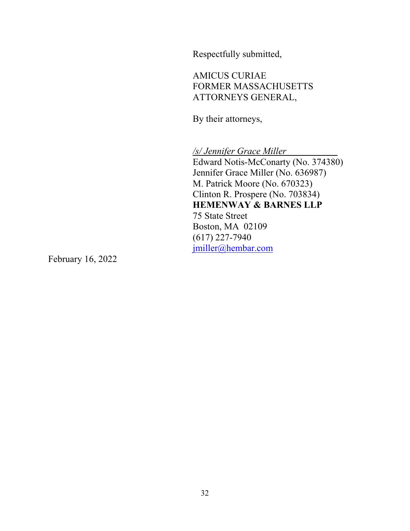Respectfully submitted,

 AMICUS CURIAE FORMER MASSACHUSETTS ATTORNEYS GENERAL,

By their attorneys,

*/s/ Jennifer Grace Miller* 

 Edward Notis-McConarty (No. 374380) Jennifer Grace Miller (No. 636987) M. Patrick Moore (No. 670323) Clinton R. Prospere (No. 703834) **HEMENWAY & BARNES LLP**  75 State Street Boston, MA 02109 (617) 227-7940 jmiller@hembar.com

February 16, 2022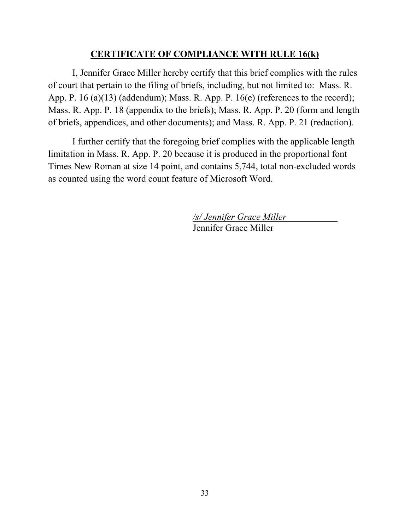### **CERTIFICATE OF COMPLIANCE WITH RULE 16(k)**

 I, Jennifer Grace Miller hereby certify that this brief complies with the rules of court that pertain to the filing of briefs, including, but not limited to: Mass. R. App. P. 16 (a)(13) (addendum); Mass. R. App. P. 16(e) (references to the record); Mass. R. App. P. 18 (appendix to the briefs); Mass. R. App. P. 20 (form and length of briefs, appendices, and other documents); and Mass. R. App. P. 21 (redaction).

I further certify that the foregoing brief complies with the applicable length limitation in Mass. R. App. P. 20 because it is produced in the proportional font Times New Roman at size 14 point, and contains 5,744, total non-excluded words as counted using the word count feature of Microsoft Word.

> */s/ Jennifer Grace Miller*  Jennifer Grace Miller